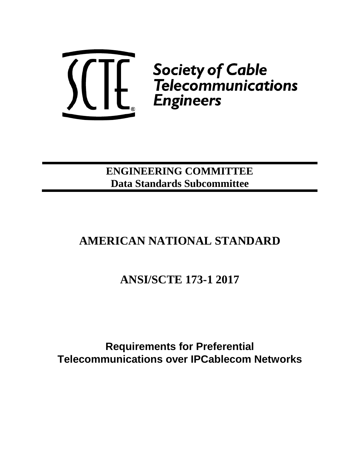

**ENGINEERING COMMITTEE Data Standards Subcommittee**

# **AMERICAN NATIONAL STANDARD**

**ANSI/SCTE 173-1 2017**

**Requirements for Preferential Telecommunications over IPCablecom Networks**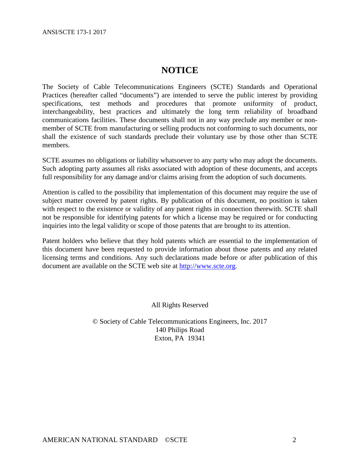ANSI/SCTE 173-1 2017

# **NOTICE**

The Society of Cable Telecommunications Engineers (SCTE) Standards and Operational Practices (hereafter called "documents") are intended to serve the public interest by providing specifications, test methods and procedures that promote uniformity of product, interchangeability, best practices and ultimately the long term reliability of broadband communications facilities. These documents shall not in any way preclude any member or nonmember of SCTE from manufacturing or selling products not conforming to such documents, nor shall the existence of such standards preclude their voluntary use by those other than SCTE members.

SCTE assumes no obligations or liability whatsoever to any party who may adopt the documents. Such adopting party assumes all risks associated with adoption of these documents, and accepts full responsibility for any damage and/or claims arising from the adoption of such documents.

Attention is called to the possibility that implementation of this document may require the use of subject matter covered by patent rights. By publication of this document, no position is taken with respect to the existence or validity of any patent rights in connection therewith. SCTE shall not be responsible for identifying patents for which a license may be required or for conducting inquiries into the legal validity or scope of those patents that are brought to its attention.

Patent holders who believe that they hold patents which are essential to the implementation of this document have been requested to provide information about those patents and any related licensing terms and conditions. Any such declarations made before or after publication of this document are available on the SCTE web site at [http://www.scte.org.](http://www.scte.org/)

All Rights Reserved

© Society of Cable Telecommunications Engineers, Inc. 2017 140 Philips Road Exton, PA 19341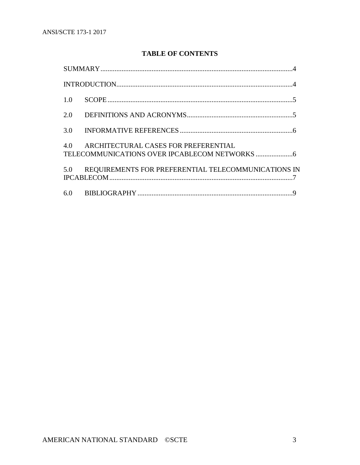# **TABLE OF CONTENTS**

| 1.0 |                                                         |
|-----|---------------------------------------------------------|
| 2.0 |                                                         |
| 3.0 |                                                         |
|     | 4.0 ARCHITECTURAL CASES FOR PREFERENTIAL                |
|     | 5.0 REQUIREMENTS FOR PREFERENTIAL TELECOMMUNICATIONS IN |
|     |                                                         |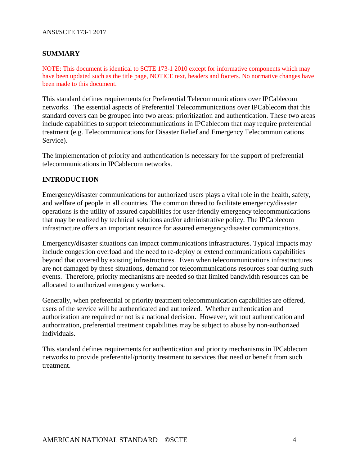#### ANSI/SCTE 173-1 2017

# **SUMMARY**

NOTE: This document is identical to SCTE 173-1 2010 except for informative components which may have been updated such as the title page, NOTICE text, headers and footers. No normative changes have been made to this document.

This standard defines requirements for Preferential Telecommunications over IPCablecom networks. The essential aspects of Preferential Telecommunications over IPCablecom that this standard covers can be grouped into two areas: prioritization and authentication. These two areas include capabilities to support telecommunications in IPCablecom that may require preferential treatment (e.g. Telecommunications for Disaster Relief and Emergency Telecommunications Service).

The implementation of priority and authentication is necessary for the support of preferential telecommunications in IPCablecom networks.

## **INTRODUCTION**

Emergency/disaster communications for authorized users plays a vital role in the health, safety, and welfare of people in all countries. The common thread to facilitate emergency/disaster operations is the utility of assured capabilities for user-friendly emergency telecommunications that may be realized by technical solutions and/or administrative policy. The IPCablecom infrastructure offers an important resource for assured emergency/disaster communications.

Emergency/disaster situations can impact communications infrastructures. Typical impacts may include congestion overload and the need to re-deploy or extend communications capabilities beyond that covered by existing infrastructures. Even when telecommunications infrastructures are not damaged by these situations, demand for telecommunications resources soar during such events. Therefore, priority mechanisms are needed so that limited bandwidth resources can be allocated to authorized emergency workers.

Generally, when preferential or priority treatment telecommunication capabilities are offered, users of the service will be authenticated and authorized. Whether authentication and authorization are required or not is a national decision. However, without authentication and authorization, preferential treatment capabilities may be subject to abuse by non-authorized individuals.

This standard defines requirements for authentication and priority mechanisms in IPCablecom networks to provide preferential/priority treatment to services that need or benefit from such treatment.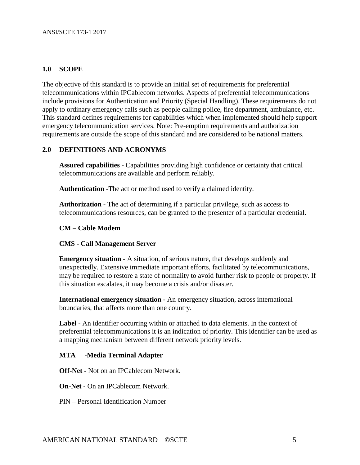# **1.0 SCOPE**

The objective of this standard is to provide an initial set of requirements for preferential telecommunications within IPCablecom networks. Aspects of preferential telecommunications include provisions for Authentication and Priority (Special Handling). These requirements do not apply to ordinary emergency calls such as people calling police, fire department, ambulance, etc. This standard defines requirements for capabilities which when implemented should help support emergency telecommunication services. Note: Pre-emption requirements and authorization requirements are outside the scope of this standard and are considered to be national matters.

## **2.0 DEFINITIONS AND ACRONYMS**

**Assured capabilities -** Capabilities providing high confidence or certainty that critical telecommunications are available and perform reliably.

**Authentication -**The act or method used to verify a claimed identity.

**Authorization -** The act of determining if a particular privilege, such as access to telecommunications resources, can be granted to the presenter of a particular credential.

#### **CM – Cable Modem**

#### **CMS - Call Management Server**

**Emergency situation -** A situation, of serious nature, that develops suddenly and unexpectedly. Extensive immediate important efforts, facilitated by telecommunications, may be required to restore a state of normality to avoid further risk to people or property. If this situation escalates, it may become a crisis and/or disaster.

**International emergency situation -** An emergency situation, across international boundaries, that affects more than one country.

**Label -** An identifier occurring within or attached to data elements. In the context of preferential telecommunications it is an indication of priority. This identifier can be used as a mapping mechanism between different network priority levels.

#### **MTA -Media Terminal Adapter**

**Off-Net -** Not on an IPCablecom Network.

**On-Net -** On an IPCablecom Network.

PIN – Personal Identification Number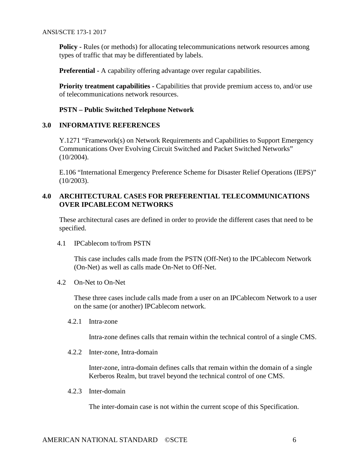**Policy -** Rules (or methods) for allocating telecommunications network resources among types of traffic that may be differentiated by labels.

**Preferential -** A capability offering advantage over regular capabilities.

**Priority treatment capabilities -** Capabilities that provide premium access to, and/or use of telecommunications network resources.

# **PSTN – Public Switched Telephone Network**

## **3.0 INFORMATIVE REFERENCES**

Y.1271 "Framework(s) on Network Requirements and Capabilities to Support Emergency Communications Over Evolving Circuit Switched and Packet Switched Networks" (10/2004).

E.106 "International Emergency Preference Scheme for Disaster Relief Operations (IEPS)" (10/2003).

# **4.0 ARCHITECTURAL CASES FOR PREFERENTIAL TELECOMMUNICATIONS OVER IPCABLECOM NETWORKS**

These architectural cases are defined in order to provide the different cases that need to be specified.

4.1 IPCablecom to/from PSTN

This case includes calls made from the PSTN (Off-Net) to the IPCablecom Network (On-Net) as well as calls made On-Net to Off-Net.

4.2 On-Net to On-Net

These three cases include calls made from a user on an IPCablecom Network to a user on the same (or another) IPCablecom network.

4.2.1 Intra-zone

Intra-zone defines calls that remain within the technical control of a single CMS.

4.2.2 Inter-zone, Intra-domain

Inter-zone, intra-domain defines calls that remain within the domain of a single Kerberos Realm, but travel beyond the technical control of one CMS.

4.2.3 Inter-domain

The inter-domain case is not within the current scope of this Specification.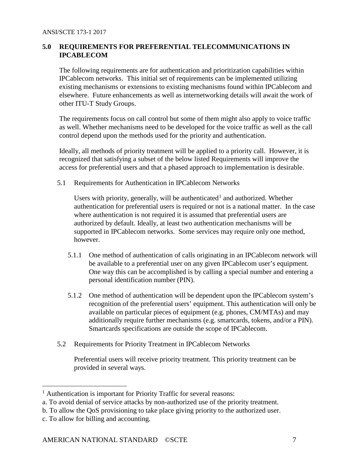# **5.0 REQUIREMENTS FOR PREFERENTIAL TELECOMMUNICATIONS IN IPCABLECOM**

The following requirements are for authentication and prioritization capabilities within IPCablecom networks. This initial set of requirements can be implemented utilizing existing mechanisms or extensions to existing mechanisms found within IPCablecom and elsewhere. Future enhancements as well as internetworking details will await the work of other ITU-T Study Groups.

The requirements focus on call control but some of them might also apply to voice traffic as well. Whether mechanisms need to be developed for the voice traffic as well as the call control depend upon the methods used for the priority and authentication.

Ideally, all methods of priority treatment will be applied to a priority call. However, it is recognized that satisfying a subset of the below listed Requirements will improve the access for preferential users and that a phased approach to implementation is desirable.

5.1 Requirements for Authentication in IPCablecom Networks

Users with priority, generally, will be authenticated<sup>[1](#page-6-0)</sup> and authorized. Whether authentication for preferential users is required or not is a national matter. In the case where authentication is not required it is assumed that preferential users are authorized by default. Ideally, at least two authentication mechanisms will be supported in IPCablecom networks. Some services may require only one method, however.

- 5.1.1 One method of authentication of calls originating in an IPCablecom network will be available to a preferential user on any given IPCablecom user's equipment. One way this can be accomplished is by calling a special number and entering a personal identification number (PIN).
- 5.1.2 One method of authentication will be dependent upon the IPCablecom system's recognition of the preferential users' equipment. This authentication will only be available on particular pieces of equipment (e.g. phones, CM/MTAs) and may additionally require further mechanisms (e.g. smartcards, tokens, and/or a PIN). Smartcards specifications are outside the scope of IPCablecom.
- 5.2 Requirements for Priority Treatment in IPCablecom Networks

Preferential users will receive priority treatment. This priority treatment can be provided in several ways.

<span id="page-6-0"></span><sup>&</sup>lt;sup>1</sup> Authentication is important for Priority Traffic for several reasons:

a. To avoid denial of service attacks by non-authorized use of the priority treatment.

b. To allow the QoS provisioning to take place giving priority to the authorized user.

c. To allow for billing and accounting.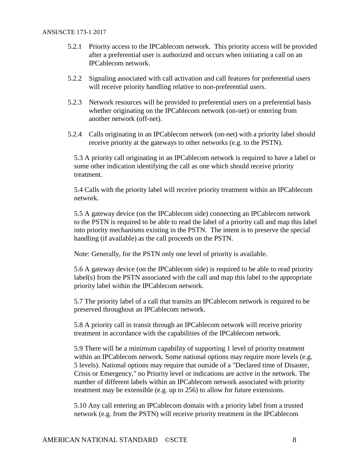- 5.2.1 Priority access to the IPCablecom network. This priority access will be provided after a preferential user is authorized and occurs when initiating a call on an IPCablecom network.
- 5.2.2 Signaling associated with call activation and call features for preferential users will receive priority handling relative to non-preferential users.
- 5.2.3 Network resources will be provided to preferential users on a preferential basis whether originating on the IPCablecom network (on-net) or entering from another network (off-net).
- 5.2.4 Calls originating in an IPCablecom network (on-net) with a priority label should receive priority at the gateways to other networks (e.g. to the PSTN).

5.3 A priority call originating in an IPCablecom network is required to have a label or some other indication identifying the call as one which should receive priority treatment.

5.4 Calls with the priority label will receive priority treatment within an IPCablecom network.

5.5 A gateway device (on the IPCablecom side) connecting an IPCablecom network to the PSTN is required to be able to read the label of a priority call and map this label into priority mechanisms existing in the PSTN. The intent is to preserve the special handling (if available) as the call proceeds on the PSTN.

Note: Generally, for the PSTN only one level of priority is available.

5.6 A gateway device (on the IPCablecom side) is required to be able to read priority label(s) from the PSTN associated with the call and map this label to the appropriate priority label within the IPCablecom network.

5.7 The priority label of a call that transits an IPCablecom network is required to be preserved throughout an IPCablecom network.

5.8 A priority call in transit through an IPCablecom network will receive priority treatment in accordance with the capabilities of the IPCablecom network.

5.9 There will be a minimum capability of supporting 1 level of priority treatment within an IPCablecom network. Some national options may require more levels (e.g. 5 levels). National options may require that outside of a "Declared time of Disaster, Crisis or Emergency," no Priority level or indications are active in the network. The number of different labels within an IPCablecom network associated with priority treatment may be extensible (e.g. up to 256) to allow for future extensions.

5.10 Any call entering an IPCablecom domain with a priority label from a trusted network (e.g. from the PSTN) will receive priority treatment in the IPCablecom